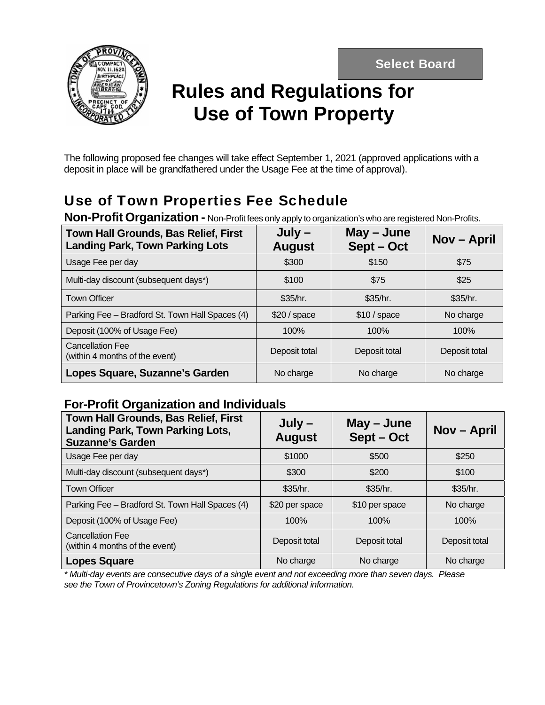Select Board



# **Rules and Regulations for Use of Town Property**

The following proposed fee changes will take effect September 1, 2021 (approved applications with a deposit in place will be grandfathered under the Usage Fee at the time of approval).

## Use of Town Properties Fee Schedule

**Non-Profit Organization -** Non-Profit fees only apply to organization's who are registered Non-Profits.

| <b>Town Hall Grounds, Bas Relief, First</b><br><b>Landing Park, Town Parking Lots</b> | $July -$<br><b>August</b> | $May - June$<br>Sept-Oct | Nov – April   |
|---------------------------------------------------------------------------------------|---------------------------|--------------------------|---------------|
| Usage Fee per day                                                                     | \$300                     | \$150                    | \$75          |
| Multi-day discount (subsequent days*)                                                 | \$100                     | \$75                     | \$25          |
| <b>Town Officer</b>                                                                   | \$35/hr.                  | \$35/hr.                 | \$35/hr.      |
| Parking Fee - Bradford St. Town Hall Spaces (4)                                       | \$20/space                | \$10/space               | No charge     |
| Deposit (100% of Usage Fee)                                                           | 100%                      | 100%                     | 100%          |
| <b>Cancellation Fee</b><br>(within 4 months of the event)                             | Deposit total             | Deposit total            | Deposit total |
| Lopes Square, Suzanne's Garden                                                        | No charge                 | No charge                | No charge     |

### **For-Profit Organization and Individuals**

| Town Hall Grounds, Bas Relief, First<br><b>Landing Park, Town Parking Lots,</b><br><b>Suzanne's Garden</b> | $July -$<br><b>August</b> | $May - June$<br>Sept-Oct | <b>Nov – April</b> |
|------------------------------------------------------------------------------------------------------------|---------------------------|--------------------------|--------------------|
| Usage Fee per day                                                                                          | \$1000                    | \$500                    | \$250              |
| Multi-day discount (subsequent days*)                                                                      | \$300                     | \$200                    | \$100              |
| <b>Town Officer</b>                                                                                        | \$35/hr.                  | \$35/hr.                 | \$35/hr.           |
| Parking Fee - Bradford St. Town Hall Spaces (4)                                                            | \$20 per space            | \$10 per space           | No charge          |
| Deposit (100% of Usage Fee)                                                                                | 100%                      | 100%                     | 100%               |
| <b>Cancellation Fee</b><br>(within 4 months of the event)                                                  | Deposit total             | Deposit total            | Deposit total      |
| <b>Lopes Square</b>                                                                                        | No charge                 | No charge                | No charge          |

*\* Multi-day events are consecutive days of a single event and not exceeding more than seven days. Please see the Town of Provincetown's Zoning Regulations for additional information.*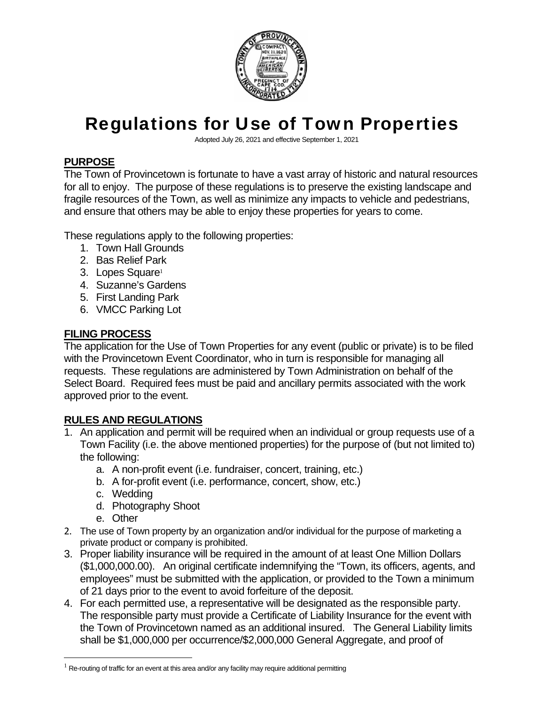

# Regulations for Use of Town Properties

Adopted July 26, 2021 and effective September 1, 2021

### **PURPOSE**

The Town of Provincetown is fortunate to have a vast array of historic and natural resources for all to enjoy. The purpose of these regulations is to preserve the existing landscape and fragile resources of the Town, as well as minimize any impacts to vehicle and pedestrians, and ensure that others may be able to enjoy these properties for years to come.

These regulations apply to the following properties:

- 1. Town Hall Grounds
- 2. Bas Relief Park
- 3. Lopes Square<sup>1</sup>
- 4. Suzanne's Gardens
- 5. First Landing Park
- 6. VMCC Parking Lot

### **FILING PROCESS**

The application for the Use of Town Properties for any event (public or private) is to be filed with the Provincetown Event Coordinator, who in turn is responsible for managing all requests. These regulations are administered by Town Administration on behalf of the Select Board. Required fees must be paid and ancillary permits associated with the work approved prior to the event.

### **RULES AND REGULATIONS**

- 1. An application and permit will be required when an individual or group requests use of a Town Facility (i.e. the above mentioned properties) for the purpose of (but not limited to) the following:
	- a. A non-profit event (i.e. fundraiser, concert, training, etc.)
	- b. A for-profit event (i.e. performance, concert, show, etc.)
	- c. Wedding
	- d. Photography Shoot
	- e. Other

 $\overline{a}$ 

- 2. The use of Town property by an organization and/or individual for the purpose of marketing a private product or company is prohibited.
- 3. Proper liability insurance will be required in the amount of at least One Million Dollars (\$1,000,000.00). An original certificate indemnifying the "Town, its officers, agents, and employees" must be submitted with the application, or provided to the Town a minimum of 21 days prior to the event to avoid forfeiture of the deposit.
- 4. For each permitted use, a representative will be designated as the responsible party. The responsible party must provide a Certificate of Liability Insurance for the event with the Town of Provincetown named as an additional insured. The General Liability limits shall be \$1,000,000 per occurrence/\$2,000,000 General Aggregate, and proof of

 $1$  Re-routing of traffic for an event at this area and/or any facility may require additional permitting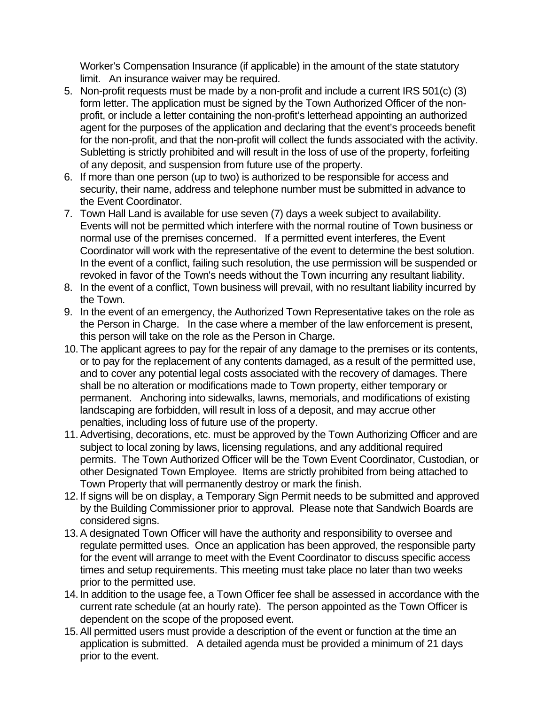Worker's Compensation Insurance (if applicable) in the amount of the state statutory limit. An insurance waiver may be required.

- 5. Non-profit requests must be made by a non-profit and include a current IRS 501(c) (3) form letter. The application must be signed by the Town Authorized Officer of the nonprofit, or include a letter containing the non-profit's letterhead appointing an authorized agent for the purposes of the application and declaring that the event's proceeds benefit for the non-profit, and that the non-profit will collect the funds associated with the activity. Subletting is strictly prohibited and will result in the loss of use of the property, forfeiting of any deposit, and suspension from future use of the property.
- 6. If more than one person (up to two) is authorized to be responsible for access and security, their name, address and telephone number must be submitted in advance to the Event Coordinator.
- 7. Town Hall Land is available for use seven (7) days a week subject to availability. Events will not be permitted which interfere with the normal routine of Town business or normal use of the premises concerned. If a permitted event interferes, the Event Coordinator will work with the representative of the event to determine the best solution. In the event of a conflict, failing such resolution, the use permission will be suspended or revoked in favor of the Town's needs without the Town incurring any resultant liability.
- 8. In the event of a conflict, Town business will prevail, with no resultant liability incurred by the Town.
- 9. In the event of an emergency, the Authorized Town Representative takes on the role as the Person in Charge. In the case where a member of the law enforcement is present, this person will take on the role as the Person in Charge.
- 10. The applicant agrees to pay for the repair of any damage to the premises or its contents, or to pay for the replacement of any contents damaged, as a result of the permitted use, and to cover any potential legal costs associated with the recovery of damages. There shall be no alteration or modifications made to Town property, either temporary or permanent. Anchoring into sidewalks, lawns, memorials, and modifications of existing landscaping are forbidden, will result in loss of a deposit, and may accrue other penalties, including loss of future use of the property.
- 11. Advertising, decorations, etc. must be approved by the Town Authorizing Officer and are subject to local zoning by laws, licensing regulations, and any additional required permits. The Town Authorized Officer will be the Town Event Coordinator, Custodian, or other Designated Town Employee. Items are strictly prohibited from being attached to Town Property that will permanently destroy or mark the finish.
- 12. If signs will be on display, a Temporary Sign Permit needs to be submitted and approved by the Building Commissioner prior to approval. Please note that Sandwich Boards are considered signs.
- 13. A designated Town Officer will have the authority and responsibility to oversee and regulate permitted uses. Once an application has been approved, the responsible party for the event will arrange to meet with the Event Coordinator to discuss specific access times and setup requirements. This meeting must take place no later than two weeks prior to the permitted use.
- 14. In addition to the usage fee, a Town Officer fee shall be assessed in accordance with the current rate schedule (at an hourly rate). The person appointed as the Town Officer is dependent on the scope of the proposed event.
- 15. All permitted users must provide a description of the event or function at the time an application is submitted. A detailed agenda must be provided a minimum of 21 days prior to the event.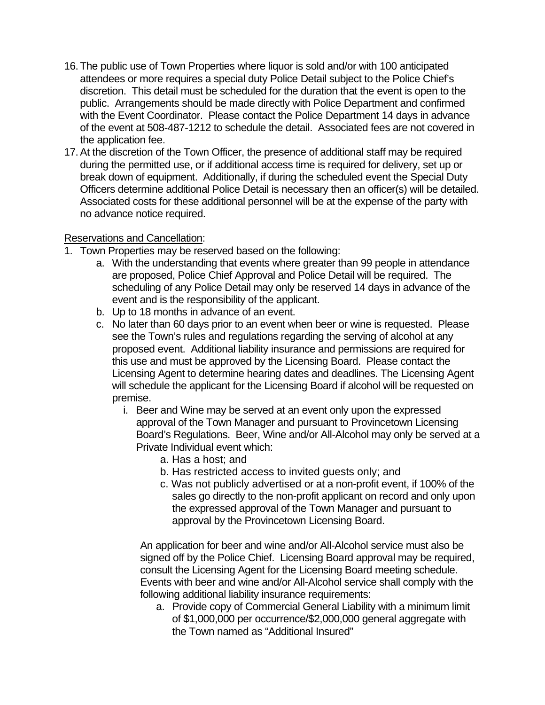- 16. The public use of Town Properties where liquor is sold and/or with 100 anticipated attendees or more requires a special duty Police Detail subject to the Police Chief's discretion. This detail must be scheduled for the duration that the event is open to the public. Arrangements should be made directly with Police Department and confirmed with the Event Coordinator. Please contact the Police Department 14 days in advance of the event at 508-487-1212 to schedule the detail. Associated fees are not covered in the application fee.
- 17. At the discretion of the Town Officer, the presence of additional staff may be required during the permitted use, or if additional access time is required for delivery, set up or break down of equipment. Additionally, if during the scheduled event the Special Duty Officers determine additional Police Detail is necessary then an officer(s) will be detailed. Associated costs for these additional personnel will be at the expense of the party with no advance notice required.

#### Reservations and Cancellation:

- 1. Town Properties may be reserved based on the following:
	- a. With the understanding that events where greater than 99 people in attendance are proposed, Police Chief Approval and Police Detail will be required. The scheduling of any Police Detail may only be reserved 14 days in advance of the event and is the responsibility of the applicant.
	- b. Up to 18 months in advance of an event.
	- c. No later than 60 days prior to an event when beer or wine is requested. Please see the Town's rules and regulations regarding the serving of alcohol at any proposed event. Additional liability insurance and permissions are required for this use and must be approved by the Licensing Board. Please contact the Licensing Agent to determine hearing dates and deadlines. The Licensing Agent will schedule the applicant for the Licensing Board if alcohol will be requested on premise.
		- i. Beer and Wine may be served at an event only upon the expressed approval of the Town Manager and pursuant to Provincetown Licensing Board's Regulations. Beer, Wine and/or All-Alcohol may only be served at a Private Individual event which:
			- a. Has a host; and
			- b. Has restricted access to invited guests only; and
			- c. Was not publicly advertised or at a non-profit event, if 100% of the sales go directly to the non-profit applicant on record and only upon the expressed approval of the Town Manager and pursuant to approval by the Provincetown Licensing Board.

An application for beer and wine and/or All-Alcohol service must also be signed off by the Police Chief. Licensing Board approval may be required, consult the Licensing Agent for the Licensing Board meeting schedule. Events with beer and wine and/or All-Alcohol service shall comply with the following additional liability insurance requirements:

a. Provide copy of Commercial General Liability with a minimum limit of \$1,000,000 per occurrence/\$2,000,000 general aggregate with the Town named as "Additional Insured"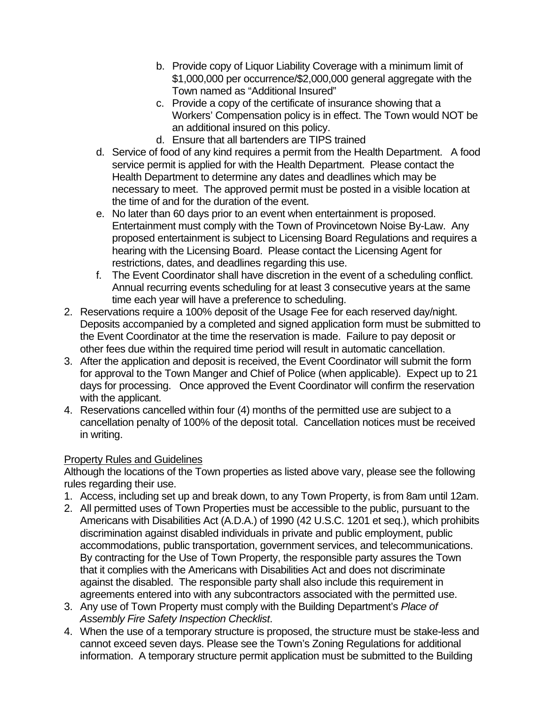- b. Provide copy of Liquor Liability Coverage with a minimum limit of \$1,000,000 per occurrence/\$2,000,000 general aggregate with the Town named as "Additional Insured"
- c. Provide a copy of the certificate of insurance showing that a Workers' Compensation policy is in effect. The Town would NOT be an additional insured on this policy.
- d. Ensure that all bartenders are TIPS trained
- d. Service of food of any kind requires a permit from the Health Department. A food service permit is applied for with the Health Department. Please contact the Health Department to determine any dates and deadlines which may be necessary to meet. The approved permit must be posted in a visible location at the time of and for the duration of the event.
- e. No later than 60 days prior to an event when entertainment is proposed. Entertainment must comply with the Town of Provincetown Noise By-Law. Any proposed entertainment is subject to Licensing Board Regulations and requires a hearing with the Licensing Board. Please contact the Licensing Agent for restrictions, dates, and deadlines regarding this use.
- f. The Event Coordinator shall have discretion in the event of a scheduling conflict. Annual recurring events scheduling for at least 3 consecutive years at the same time each year will have a preference to scheduling.
- 2. Reservations require a 100% deposit of the Usage Fee for each reserved day/night. Deposits accompanied by a completed and signed application form must be submitted to the Event Coordinator at the time the reservation is made. Failure to pay deposit or other fees due within the required time period will result in automatic cancellation.
- 3. After the application and deposit is received, the Event Coordinator will submit the form for approval to the Town Manger and Chief of Police (when applicable). Expect up to 21 days for processing. Once approved the Event Coordinator will confirm the reservation with the applicant.
- 4. Reservations cancelled within four (4) months of the permitted use are subject to a cancellation penalty of 100% of the deposit total. Cancellation notices must be received in writing.

### **Property Rules and Guidelines**

Although the locations of the Town properties as listed above vary, please see the following rules regarding their use.

- 1. Access, including set up and break down, to any Town Property, is from 8am until 12am.
- 2. All permitted uses of Town Properties must be accessible to the public, pursuant to the Americans with Disabilities Act (A.D.A.) of 1990 (42 U.S.C. 1201 et seq.), which prohibits discrimination against disabled individuals in private and public employment, public accommodations, public transportation, government services, and telecommunications. By contracting for the Use of Town Property, the responsible party assures the Town that it complies with the Americans with Disabilities Act and does not discriminate against the disabled. The responsible party shall also include this requirement in agreements entered into with any subcontractors associated with the permitted use.
- 3. Any use of Town Property must comply with the Building Department's *Place of Assembly Fire Safety Inspection Checklist*.
- 4. When the use of a temporary structure is proposed, the structure must be stake-less and cannot exceed seven days. Please see the Town's Zoning Regulations for additional information. A temporary structure permit application must be submitted to the Building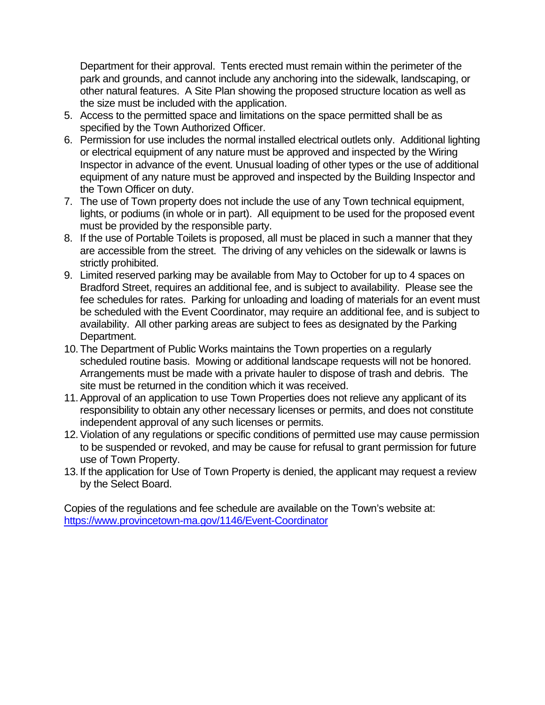Department for their approval. Tents erected must remain within the perimeter of the park and grounds, and cannot include any anchoring into the sidewalk, landscaping, or other natural features. A Site Plan showing the proposed structure location as well as the size must be included with the application.

- 5. Access to the permitted space and limitations on the space permitted shall be as specified by the Town Authorized Officer.
- 6. Permission for use includes the normal installed electrical outlets only. Additional lighting or electrical equipment of any nature must be approved and inspected by the Wiring Inspector in advance of the event. Unusual loading of other types or the use of additional equipment of any nature must be approved and inspected by the Building Inspector and the Town Officer on duty.
- 7. The use of Town property does not include the use of any Town technical equipment, lights, or podiums (in whole or in part). All equipment to be used for the proposed event must be provided by the responsible party.
- 8. If the use of Portable Toilets is proposed, all must be placed in such a manner that they are accessible from the street. The driving of any vehicles on the sidewalk or lawns is strictly prohibited.
- 9. Limited reserved parking may be available from May to October for up to 4 spaces on Bradford Street, requires an additional fee, and is subject to availability. Please see the fee schedules for rates. Parking for unloading and loading of materials for an event must be scheduled with the Event Coordinator, may require an additional fee, and is subject to availability. All other parking areas are subject to fees as designated by the Parking Department.
- 10. The Department of Public Works maintains the Town properties on a regularly scheduled routine basis. Mowing or additional landscape requests will not be honored. Arrangements must be made with a private hauler to dispose of trash and debris. The site must be returned in the condition which it was received.
- 11. Approval of an application to use Town Properties does not relieve any applicant of its responsibility to obtain any other necessary licenses or permits, and does not constitute independent approval of any such licenses or permits.
- 12. Violation of any regulations or specific conditions of permitted use may cause permission to be suspended or revoked, and may be cause for refusal to grant permission for future use of Town Property.
- 13. If the application for Use of Town Property is denied, the applicant may request a review by the Select Board.

Copies of the regulations and fee schedule are available on the Town's website at: https://www.provincetown-ma.gov/1146/Event-Coordinator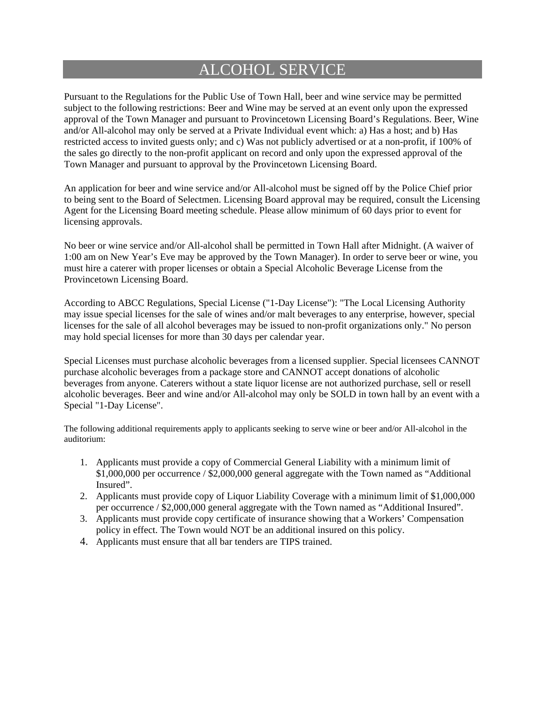### ALCOHOL SERVICE

Pursuant to the Regulations for the Public Use of Town Hall, beer and wine service may be permitted subject to the following restrictions: Beer and Wine may be served at an event only upon the expressed approval of the Town Manager and pursuant to Provincetown Licensing Board's Regulations. Beer, Wine and/or All-alcohol may only be served at a Private Individual event which: a) Has a host; and b) Has restricted access to invited guests only; and c) Was not publicly advertised or at a non-profit, if 100% of the sales go directly to the non-profit applicant on record and only upon the expressed approval of the Town Manager and pursuant to approval by the Provincetown Licensing Board.

An application for beer and wine service and/or All-alcohol must be signed off by the Police Chief prior to being sent to the Board of Selectmen. Licensing Board approval may be required, consult the Licensing Agent for the Licensing Board meeting schedule. Please allow minimum of 60 days prior to event for licensing approvals.

No beer or wine service and/or All-alcohol shall be permitted in Town Hall after Midnight. (A waiver of 1:00 am on New Year's Eve may be approved by the Town Manager). In order to serve beer or wine, you must hire a caterer with proper licenses or obtain a Special Alcoholic Beverage License from the Provincetown Licensing Board.

According to ABCC Regulations, Special License ("1-Day License"): "The Local Licensing Authority may issue special licenses for the sale of wines and/or malt beverages to any enterprise, however, special licenses for the sale of all alcohol beverages may be issued to non-profit organizations only." No person may hold special licenses for more than 30 days per calendar year.

Special Licenses must purchase alcoholic beverages from a licensed supplier. Special licensees CANNOT purchase alcoholic beverages from a package store and CANNOT accept donations of alcoholic beverages from anyone. Caterers without a state liquor license are not authorized purchase, sell or resell alcoholic beverages. Beer and wine and/or All-alcohol may only be SOLD in town hall by an event with a Special "1-Day License".

The following additional requirements apply to applicants seeking to serve wine or beer and/or All-alcohol in the auditorium:

- 1. Applicants must provide a copy of Commercial General Liability with a minimum limit of \$1,000,000 per occurrence / \$2,000,000 general aggregate with the Town named as "Additional Insured".
- 2. Applicants must provide copy of Liquor Liability Coverage with a minimum limit of \$1,000,000 per occurrence / \$2,000,000 general aggregate with the Town named as "Additional Insured".
- 3. Applicants must provide copy certificate of insurance showing that a Workers' Compensation policy in effect. The Town would NOT be an additional insured on this policy.
- 4. Applicants must ensure that all bar tenders are TIPS trained.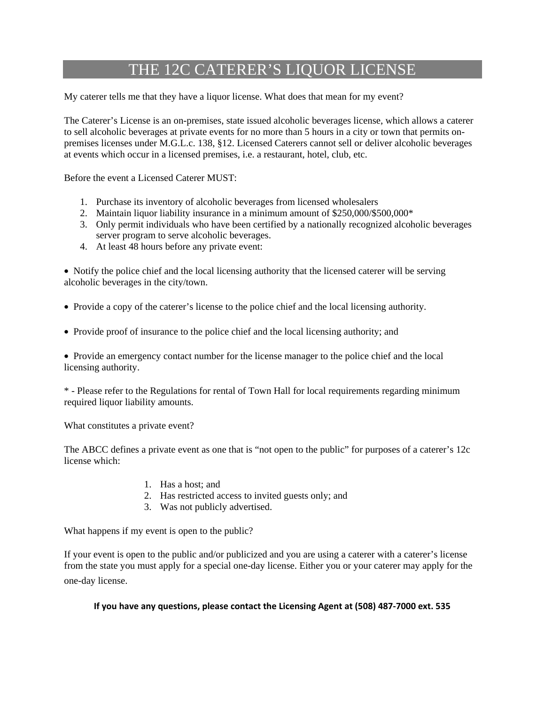### THE 12C CATERER'S LIQUOR LICENSE

My caterer tells me that they have a liquor license. What does that mean for my event?

The Caterer's License is an on-premises, state issued alcoholic beverages license, which allows a caterer to sell alcoholic beverages at private events for no more than 5 hours in a city or town that permits onpremises licenses under M.G.L.c. 138, §12. Licensed Caterers cannot sell or deliver alcoholic beverages at events which occur in a licensed premises, i.e. a restaurant, hotel, club, etc.

Before the event a Licensed Caterer MUST:

- 1. Purchase its inventory of alcoholic beverages from licensed wholesalers
- 2. Maintain liquor liability insurance in a minimum amount of \$250,000/\$500,000\*
- 3. Only permit individuals who have been certified by a nationally recognized alcoholic beverages server program to serve alcoholic beverages.
- 4. At least 48 hours before any private event:

• Notify the police chief and the local licensing authority that the licensed caterer will be serving alcoholic beverages in the city/town.

- Provide a copy of the caterer's license to the police chief and the local licensing authority.
- Provide proof of insurance to the police chief and the local licensing authority; and

• Provide an emergency contact number for the license manager to the police chief and the local licensing authority.

\* - Please refer to the Regulations for rental of Town Hall for local requirements regarding minimum required liquor liability amounts.

What constitutes a private event?

The ABCC defines a private event as one that is "not open to the public" for purposes of a caterer's 12c license which:

- 1. Has a host; and
- 2. Has restricted access to invited guests only; and
- 3. Was not publicly advertised.

What happens if my event is open to the public?

If your event is open to the public and/or publicized and you are using a caterer with a caterer's license from the state you must apply for a special one-day license. Either you or your caterer may apply for the one-day license.

#### **If you have any questions, please contact the Licensing Agent at (508) 487-7000 ext. 535**